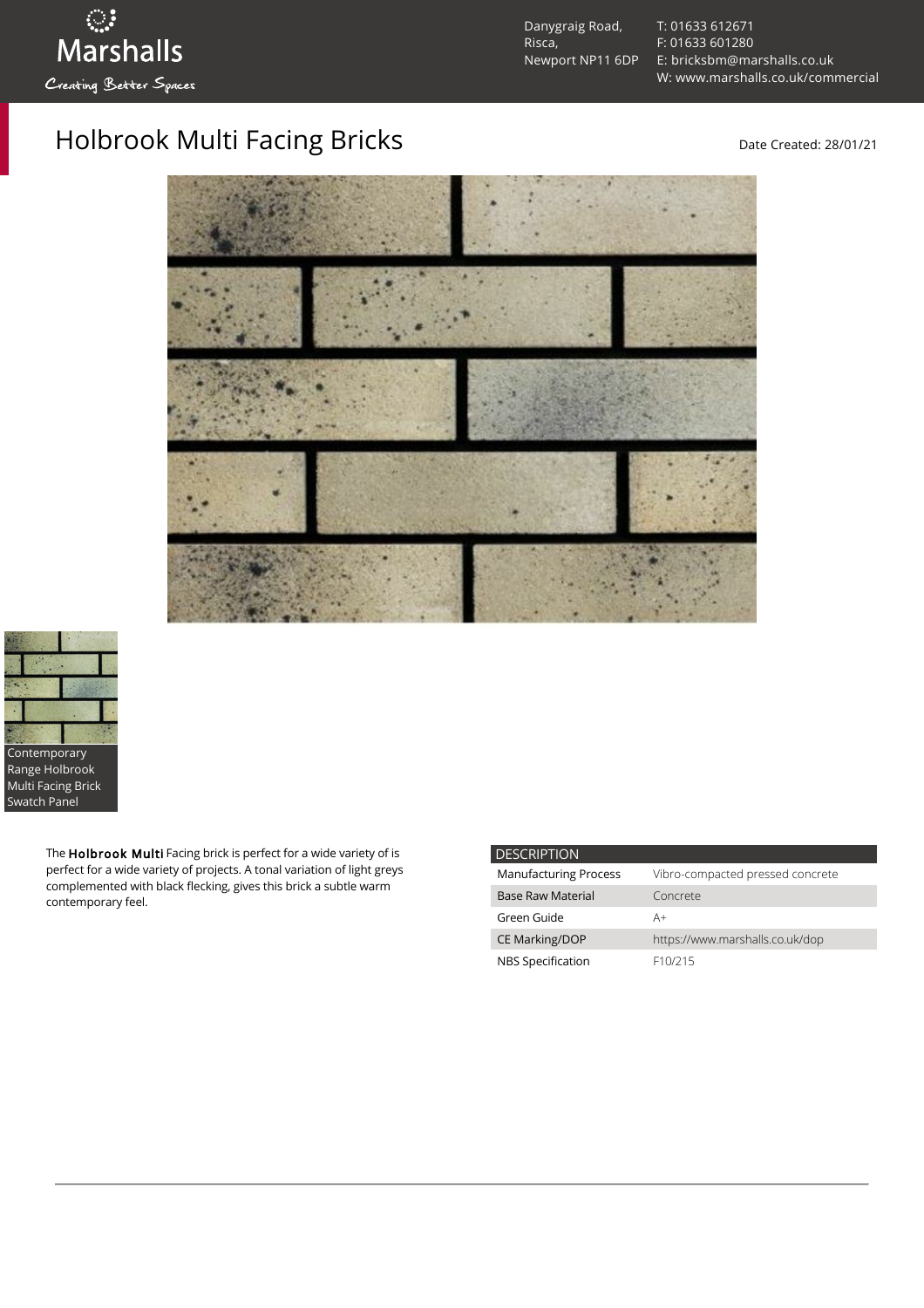Danygraig Road, Risca, Newport NP11 6DP [T: 01633 612671](tel:01633%20612671) [F: 01633 601280](tel:01633%20601280) [E: bricksbm@marshalls.co.uk](mailto:bricksbm@marshalls.co.uk) [W: www.marshalls.co.uk/commercial](https://www.marshalls.co.uk/commercial)

## Holbrook Multi Facing Bricks **Date Created: 28/01/21**





The Holbrook Multi Facing brick is perfect for a wide variety of is perfect for a wide variety of projects. A tonal variation of light greys complemented with black flecking, gives this brick a subtle warm contemporary feel.

| <b>DESCRIPTION</b>           |                                  |
|------------------------------|----------------------------------|
| <b>Manufacturing Process</b> | Vibro-compacted pressed concrete |
| <b>Base Raw Material</b>     | Concrete                         |
| Green Guide                  | A+                               |
| <b>CE Marking/DOP</b>        | https://www.marshalls.co.uk/dop  |
| NBS Specification            | F <sub>10</sub> /215             |